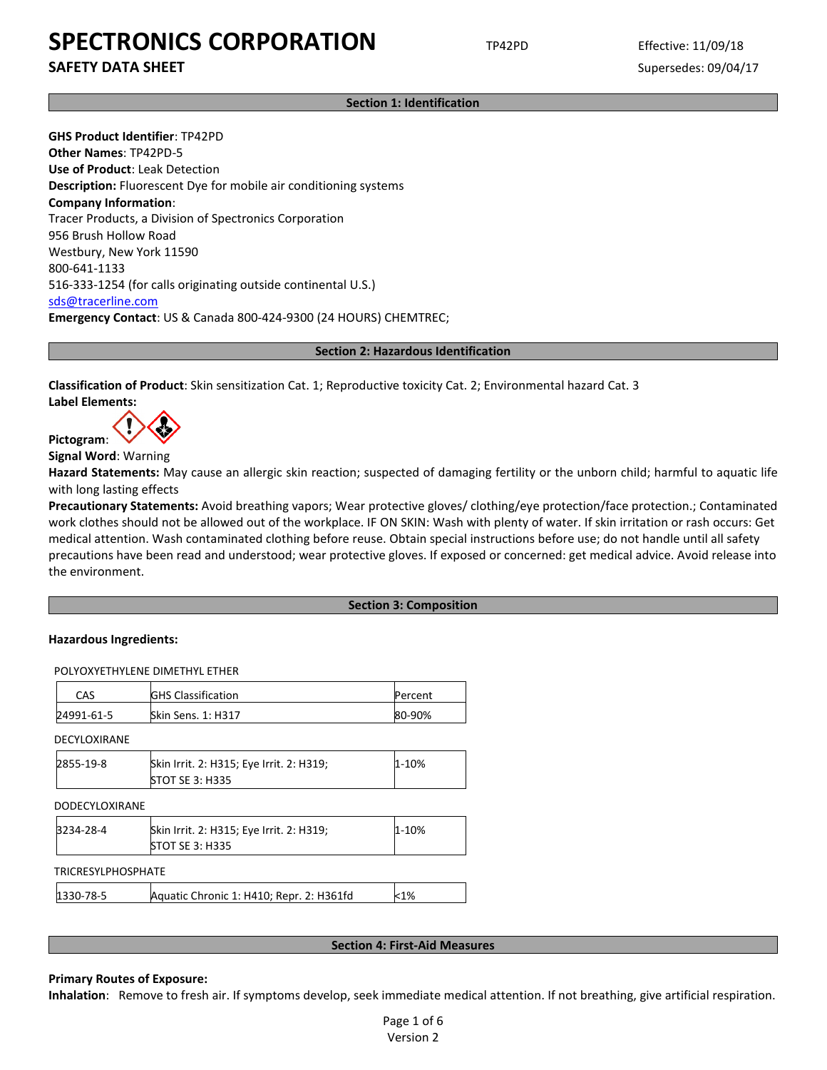**SAFETY DATA SHEET** SUPERFOUR SUPERFOUR SUPERFOUR SUPERFOUR SUPERFOUR SUPERFOUR SUPERFOUR SUPERFOUR SUPERFOUR SUPERFOUR SUPERFOUR SUPERFOUR SUPERFOUR SUPERFOUR SUPERFOUR SUPERFOUR SUPERFOUR SUPERFOUR SUPERFOUR SUPERFOUR SU

**Section 1: Identification**

**GHS Product Identifier**: TP42PD **Other Names**: TP42PD-5 **Use of Product**: Leak Detection **Description:** Fluorescent Dye for mobile air conditioning systems **Company Information**: Tracer Products, a Division of Spectronics Corporation 956 Brush Hollow Road Westbury, New York 11590 800-641-1133 516-333-1254 (for calls originating outside continental U.S.) [sds@tracerline.com](mailto:sds@tracerline.com) **Emergency Contact**: US & Canada 800-424-9300 (24 HOURS) CHEMTREC;

**Section 2: Hazardous Identification**

**Classification of Product**: Skin sensitization Cat. 1; Reproductive toxicity Cat. 2; Environmental hazard Cat. 3 **Label Elements:** 

**Pictogram**:

**Signal Word**: Warning

**Hazard Statements:** May cause an allergic skin reaction; suspected of damaging fertility or the unborn child; harmful to aquatic life with long lasting effects

**Precautionary Statements:** Avoid breathing vapors; Wear protective gloves/ clothing/eye protection/face protection.; Contaminated work clothes should not be allowed out of the workplace. IF ON SKIN: Wash with plenty of water. If skin irritation or rash occurs: Get medical attention. Wash contaminated clothing before reuse. Obtain special instructions before use; do not handle until all safety precautions have been read and understood; wear protective gloves. If exposed or concerned: get medical advice. Avoid release into the environment.

## **Section 3: Composition**

## **Hazardous Ingredients:**

POLYOXYETHYLENE DIMETHYL ETHER

| CAS        | <b>GHS Classification</b> | Percent |
|------------|---------------------------|---------|
| 24991-61-5 | <b>Skin Sens. 1: H317</b> | 80-90%  |
|            |                           |         |

DECYLOXIRANE

| 2855-19-8 | Skin Irrit. 2: H315; Eye Irrit. 2: H319; | 1-10% |
|-----------|------------------------------------------|-------|
|           | <b>STOT SE 3: H335</b>                   |       |

| <b>DODECYLOXIRANE</b>     |                                                                    |           |
|---------------------------|--------------------------------------------------------------------|-----------|
| 3234-28-4                 | Skin Irrit. 2: H315; Eye Irrit. 2: H319;<br><b>STOT SE 3: H335</b> | $1 - 10%$ |
| <b>TRICRESYLPHOSPHATE</b> |                                                                    |           |
| 1330-78-5                 | Aquatic Chronic 1: H410; Repr. 2: H361fd                           | $<$ 1%    |

#### **Section 4: First-Aid Measures**

### **Primary Routes of Exposure:**

**Inhalation**: Remove to fresh air. If symptoms develop, seek immediate medical attention. If not breathing, give artificial respiration.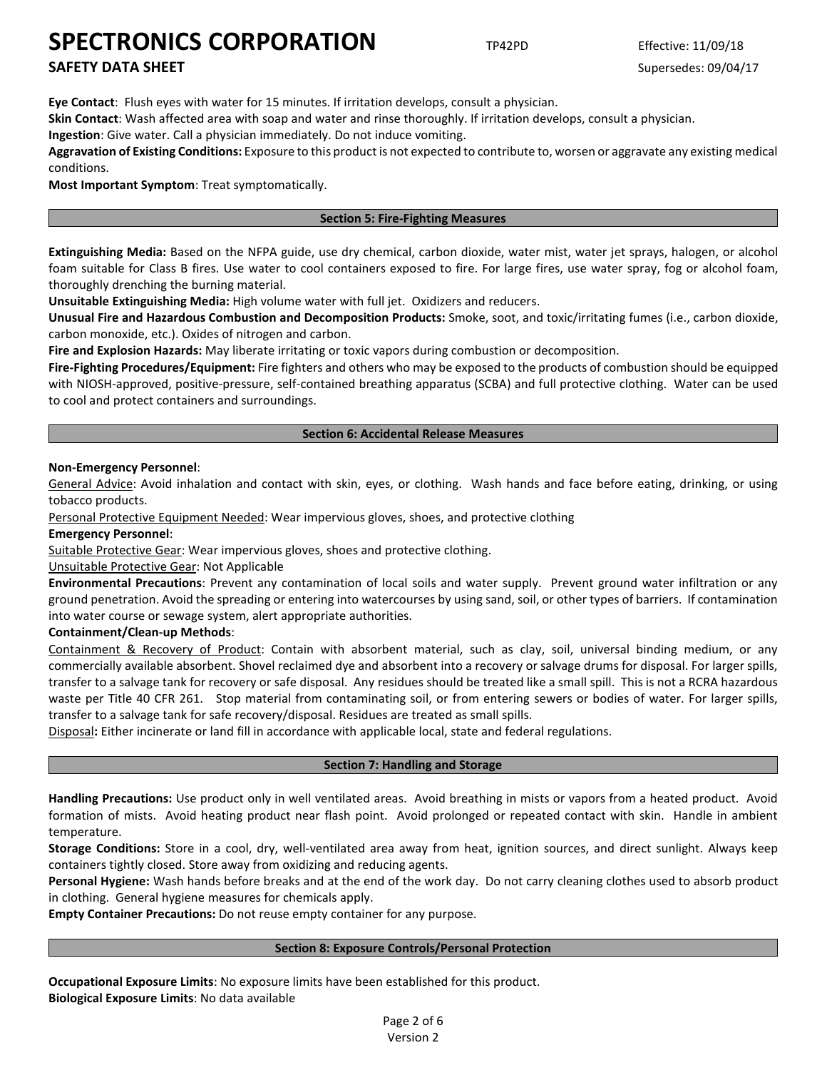## **SAFETY DATA SHEET** SUPERFOUR SUPERFOUR SUPERFOUR SUPERFOUR SUPERFOUR SUPERFOUR SUPERFOUR SUPERFOUR SUPERFOUR SUPERFOUR SUPERFOUR SUPERFOUR SUPERFOUR SUPERFOUR SUPERFOUR SUPERFOUR SUPERFOUR SUPERFOUR SUPERFOUR SUPERFOUR SU

**Eye Contact**: Flush eyes with water for 15 minutes. If irritation develops, consult a physician.

**Skin Contact**: Wash affected area with soap and water and rinse thoroughly. If irritation develops, consult a physician.

**Ingestion**: Give water. Call a physician immediately. Do not induce vomiting.

**Aggravation of Existing Conditions:** Exposure to this product is not expected to contribute to, worsen or aggravate any existing medical conditions.

**Most Important Symptom**: Treat symptomatically.

## **Section 5: Fire-Fighting Measures**

**Extinguishing Media:** Based on the NFPA guide, use dry chemical, carbon dioxide, water mist, water jet sprays, halogen, or alcohol foam suitable for Class B fires. Use water to cool containers exposed to fire. For large fires, use water spray, fog or alcohol foam, thoroughly drenching the burning material.

**Unsuitable Extinguishing Media:** High volume water with full jet. Oxidizers and reducers.

**Unusual Fire and Hazardous Combustion and Decomposition Products:** Smoke, soot, and toxic/irritating fumes (i.e., carbon dioxide, carbon monoxide, etc.). Oxides of nitrogen and carbon.

**Fire and Explosion Hazards:** May liberate irritating or toxic vapors during combustion or decomposition.

**Fire-Fighting Procedures/Equipment:** Fire fighters and others who may be exposed to the products of combustion should be equipped with NIOSH-approved, positive-pressure, self-contained breathing apparatus (SCBA) and full protective clothing. Water can be used to cool and protect containers and surroundings.

## **Section 6: Accidental Release Measures**

## **Non-Emergency Personnel**:

General Advice: Avoid inhalation and contact with skin, eyes, or clothing. Wash hands and face before eating, drinking, or using tobacco products.

Personal Protective Equipment Needed: Wear impervious gloves, shoes, and protective clothing

**Emergency Personnel**:

Suitable Protective Gear: Wear impervious gloves, shoes and protective clothing.

## Unsuitable Protective Gear: Not Applicable

**Environmental Precautions**: Prevent any contamination of local soils and water supply. Prevent ground water infiltration or any ground penetration. Avoid the spreading or entering into watercourses by using sand, soil, or other types of barriers. If contamination into water course or sewage system, alert appropriate authorities.

## **Containment/Clean-up Methods**:

Containment & Recovery of Product: Contain with absorbent material, such as clay, soil, universal binding medium, or any commercially available absorbent. Shovel reclaimed dye and absorbent into a recovery or salvage drums for disposal. For larger spills, transfer to a salvage tank for recovery or safe disposal. Any residues should be treated like a small spill. This is not a RCRA hazardous waste per Title 40 CFR 261. Stop material from contaminating soil, or from entering sewers or bodies of water. For larger spills, transfer to a salvage tank for safe recovery/disposal. Residues are treated as small spills.

Disposal**:** Either incinerate or land fill in accordance with applicable local, state and federal regulations.

## **Section 7: Handling and Storage**

**Handling Precautions:** Use product only in well ventilated areas. Avoid breathing in mists or vapors from a heated product. Avoid formation of mists. Avoid heating product near flash point. Avoid prolonged or repeated contact with skin. Handle in ambient temperature.

**Storage Conditions:** Store in a cool, dry, well-ventilated area away from heat, ignition sources, and direct sunlight. Always keep containers tightly closed. Store away from oxidizing and reducing agents.

**Personal Hygiene:** Wash hands before breaks and at the end of the work day. Do not carry cleaning clothes used to absorb product in clothing. General hygiene measures for chemicals apply.

**Empty Container Precautions:** Do not reuse empty container for any purpose.

## **Section 8: Exposure Controls/Personal Protection**

**Occupational Exposure Limits**: No exposure limits have been established for this product. **Biological Exposure Limits**: No data available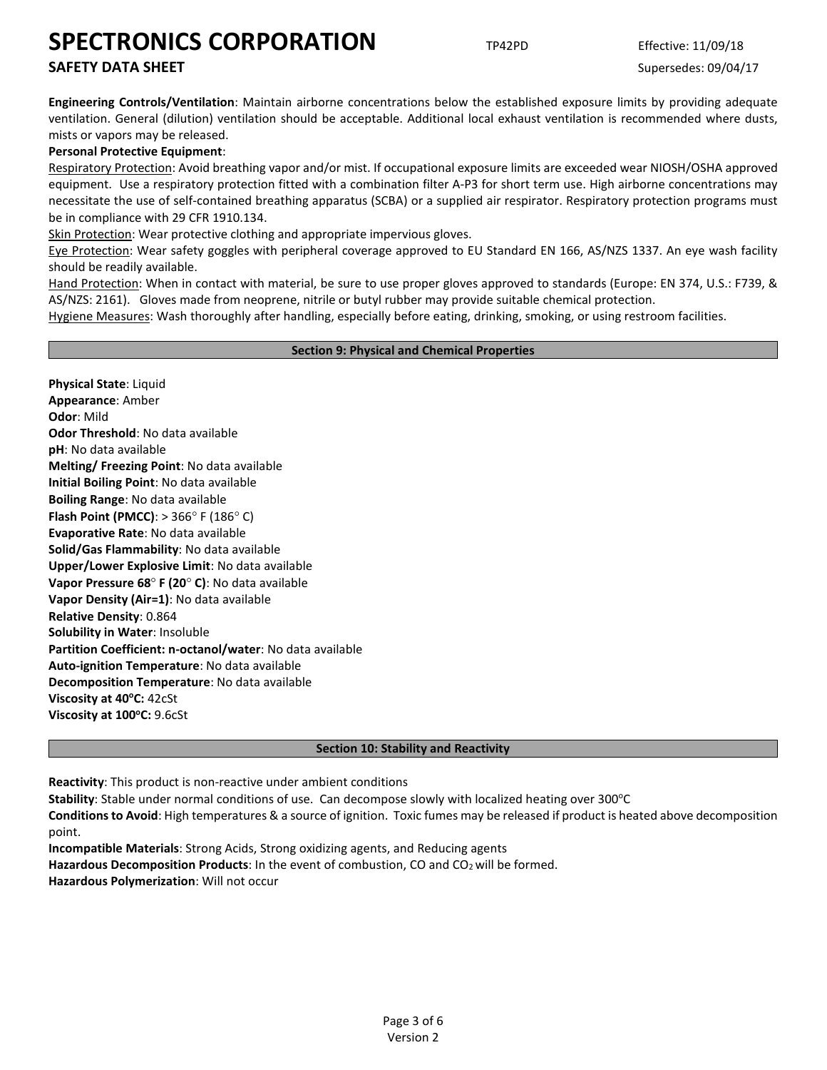## **SAFETY DATA SHEET** SUPERFOUR SUPERFOUR SUPERFOUR SUPERFOUR SUPERFOUR SUPERFOUR SUPERFOUR SUPERFOUR SUPERFOUR SUPERFOUR SUPERFOUR SUPERFOUR SUPERFOUR SUPERFOUR SUPERFOUR SUPERFOUR SUPERFOUR SUPERFOUR SUPERFOUR SUPERFOUR SU

**Engineering Controls/Ventilation**: Maintain airborne concentrations below the established exposure limits by providing adequate ventilation. General (dilution) ventilation should be acceptable. Additional local exhaust ventilation is recommended where dusts, mists or vapors may be released.

## **Personal Protective Equipment**:

Respiratory Protection: Avoid breathing vapor and/or mist. If occupational exposure limits are exceeded wear NIOSH/OSHA approved equipment. Use a respiratory protection fitted with a combination filter A-P3 for short term use. High airborne concentrations may necessitate the use of self-contained breathing apparatus (SCBA) or a supplied air respirator. Respiratory protection programs must be in compliance with 29 CFR 1910.134.

Skin Protection: Wear protective clothing and appropriate impervious gloves.

Eye Protection: Wear safety goggles with peripheral coverage approved to EU Standard EN 166, AS/NZS 1337. An eye wash facility should be readily available.

Hand Protection: When in contact with material, be sure to use proper gloves approved to standards (Europe: EN 374, U.S.: F739, & AS/NZS: 2161). Gloves made from neoprene, nitrile or butyl rubber may provide suitable chemical protection.

Hygiene Measures: Wash thoroughly after handling, especially before eating, drinking, smoking, or using restroom facilities.

## **Section 9: Physical and Chemical Properties**

**Physical State**: Liquid **Appearance**: Amber **Odor**: Mild **Odor Threshold**: No data available **pH**: No data available **Melting/ Freezing Point**: No data available **Initial Boiling Point**: No data available **Boiling Range**: No data available **Flash Point (PMCC)**: > 366° F (186° C) **Evaporative Rate**: No data available **Solid/Gas Flammability**: No data available **Upper/Lower Explosive Limit**: No data available **Vapor Pressure 68**° **F (20**° **C)**: No data available **Vapor Density (Air=1)**: No data available **Relative Density**: 0.864 **Solubility in Water**: Insoluble **Partition Coefficient: n-octanol/water**: No data available **Auto-ignition Temperature**: No data available **Decomposition Temperature**: No data available **Viscosity at 40°C: 42cSt Viscosity at 100°C: 9.6cSt** 

## **Section 10: Stability and Reactivity**

**Reactivity**: This product is non-reactive under ambient conditions

Stability: Stable under normal conditions of use. Can decompose slowly with localized heating over 300°C

**Conditions to Avoid**: High temperatures & a source of ignition. Toxic fumes may be released if product is heated above decomposition point.

**Incompatible Materials**: Strong Acids, Strong oxidizing agents, and Reducing agents **Hazardous Decomposition Products**: In the event of combustion, CO and CO2 will be formed. **Hazardous Polymerization**: Will not occur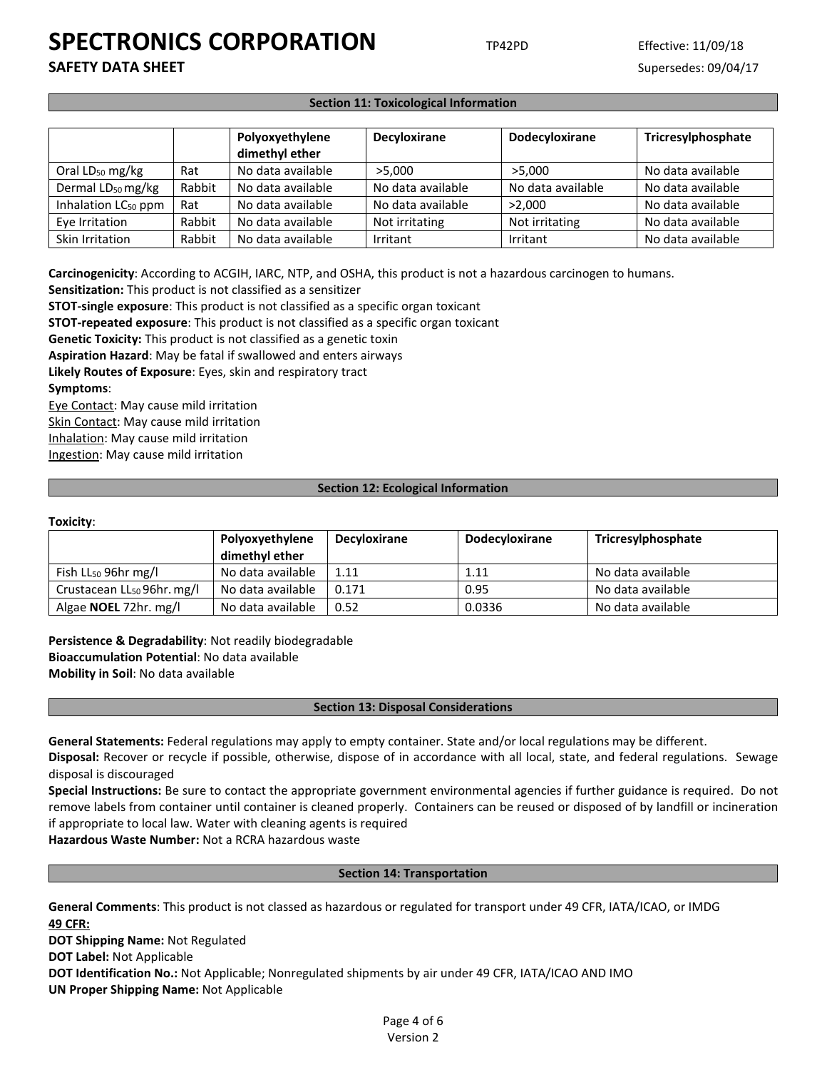**SAFETY DATA SHEET** SUPERFOUR SUPERFOUR SUPERFOUR SUPERFOUR SUPERFOUR SUPERFOUR SUPERFOUR SUPERFOUR SUPERFOUR SUPERFOUR SUPERFOUR SUPERFOUR SUPERFOUR SUPERFOUR SUPERFOUR SUPERFOUR SUPERFOUR SUPERFOUR SUPERFOUR SUPERFOUR SU

## **Section 11: Toxicological Information**

|                                 |        | Polyoxyethylene<br>dimethyl ether | Decyloxirane      | Dodecyloxirane    | Tricresylphosphate |
|---------------------------------|--------|-----------------------------------|-------------------|-------------------|--------------------|
| Oral $LD_{50}$ mg/kg            | Rat    | No data available                 | >5.000            | >5.000            | No data available  |
| Dermal LD <sub>50</sub> mg/kg   | Rabbit | No data available                 | No data available | No data available | No data available  |
| Inhalation LC <sub>50</sub> ppm | Rat    | No data available                 | No data available | >2.000            | No data available  |
| Eye Irritation                  | Rabbit | No data available                 | Not irritating    | Not irritating    | No data available  |
| Skin Irritation                 | Rabbit | No data available                 | Irritant          | Irritant          | No data available  |

**Carcinogenicity**: According to ACGIH, IARC, NTP, and OSHA, this product is not a hazardous carcinogen to humans.

**Sensitization:** This product is not classified as a sensitizer

**STOT-single exposure**: This product is not classified as a specific organ toxicant

**STOT-repeated exposure**: This product is not classified as a specific organ toxicant

**Genetic Toxicity:** This product is not classified as a genetic toxin

**Aspiration Hazard**: May be fatal if swallowed and enters airways

**Likely Routes of Exposure**: Eyes, skin and respiratory tract **Symptoms**:

Eye Contact: May cause mild irritation Skin Contact: May cause mild irritation Inhalation: May cause mild irritation Ingestion: May cause mild irritation

### **Section 12: Ecological Information**

#### **Toxicity**:

|                                        | Polyoxyethylene<br>dimethyl ether | <b>Decyloxirane</b> | <b>Dodecyloxirane</b> | Tricresylphosphate |
|----------------------------------------|-----------------------------------|---------------------|-----------------------|--------------------|
| Fish $LL_{50}$ 96hr mg/l               | No data available                 | 1.11                | 1.11                  | No data available  |
| Crustacean LL <sub>50</sub> 96hr. mg/l | No data available                 | 0.171               | 0.95                  | No data available  |
| Algae <b>NOEL</b> 72hr. mg/l           | No data available                 | 0.52                | 0.0336                | No data available  |

**Persistence & Degradability**: Not readily biodegradable **Bioaccumulation Potential**: No data available **Mobility in Soil**: No data available

## **Section 13: Disposal Considerations**

**General Statements:** Federal regulations may apply to empty container. State and/or local regulations may be different.

**Disposal:** Recover or recycle if possible, otherwise, dispose of in accordance with all local, state, and federal regulations. Sewage disposal is discouraged

**Special Instructions:** Be sure to contact the appropriate government environmental agencies if further guidance is required. Do not remove labels from container until container is cleaned properly. Containers can be reused or disposed of by landfill or incineration if appropriate to local law. Water with cleaning agents is required

**Hazardous Waste Number:** Not a RCRA hazardous waste

### **Section 14: Transportation**

**General Comments**: This product is not classed as hazardous or regulated for transport under 49 CFR, IATA/ICAO, or IMDG **49 CFR:**

**DOT Shipping Name:** Not Regulated

**DOT Label:** Not Applicable

**DOT Identification No.:** Not Applicable; Nonregulated shipments by air under 49 CFR, IATA/ICAO AND IMO

**UN Proper Shipping Name:** Not Applicable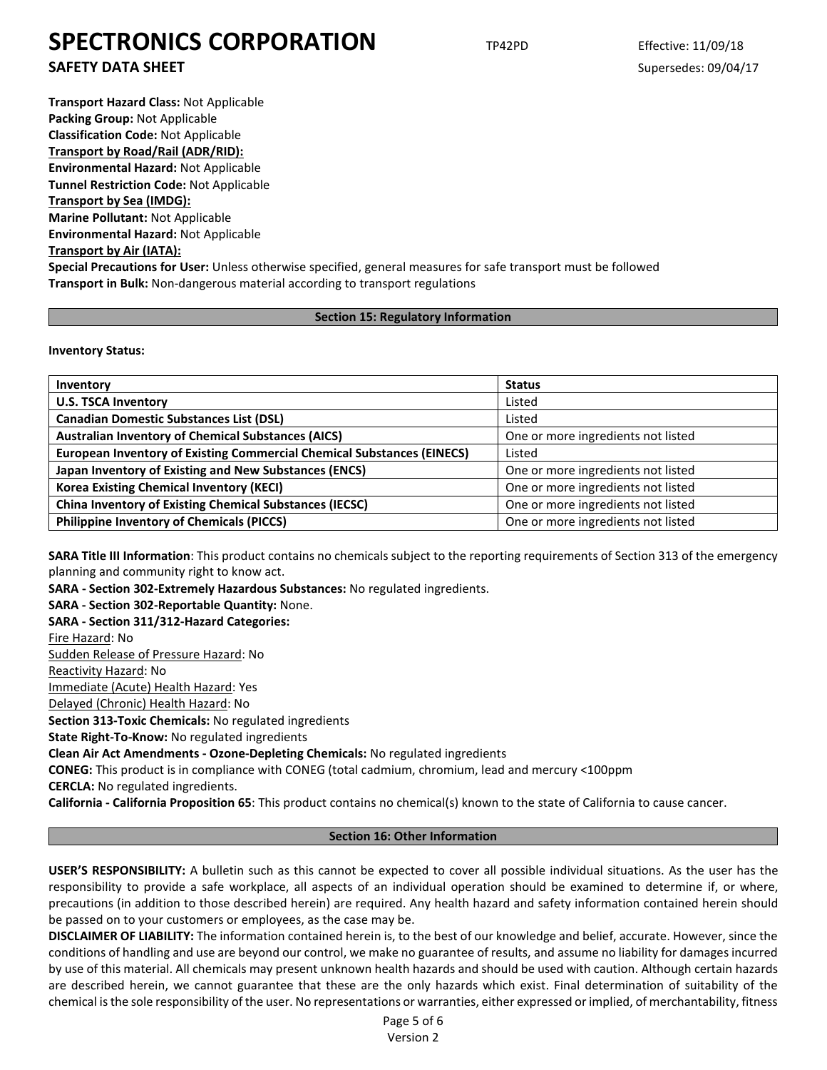**SAFETY DATA SHEET** SUPERFOUR SUPERFOUR SUPERFOUR SUPERFOUR SUPERFOUR SUPERFOUR SUPERFOUR SUPERFOUR SUPERFOUR SUPERFOUR SUPERFOUR SUPERFOUR SUPERFOUR SUPERFOUR SUPERFOUR SUPERFOUR SUPERFOUR SUPERFOUR SUPERFOUR SUPERFOUR SU

**Transport Hazard Class:** Not Applicable **Packing Group:** Not Applicable **Classification Code:** Not Applicable **Transport by Road/Rail (ADR/RID): Environmental Hazard:** Not Applicable **Tunnel Restriction Code:** Not Applicable **Transport by Sea (IMDG): Marine Pollutant:** Not Applicable **Environmental Hazard:** Not Applicable **Transport by Air (IATA): Special Precautions for User:** Unless otherwise specified, general measures for safe transport must be followed **Transport in Bulk:** Non-dangerous material according to transport regulations

## **Section 15: Regulatory Information**

**Inventory Status:** 

| Inventory                                                                     | <b>Status</b>                      |  |
|-------------------------------------------------------------------------------|------------------------------------|--|
| <b>U.S. TSCA Inventory</b>                                                    | Listed                             |  |
| <b>Canadian Domestic Substances List (DSL)</b>                                | Listed                             |  |
| <b>Australian Inventory of Chemical Substances (AICS)</b>                     | One or more ingredients not listed |  |
| <b>European Inventory of Existing Commercial Chemical Substances (EINECS)</b> | Listed                             |  |
| Japan Inventory of Existing and New Substances (ENCS)                         | One or more ingredients not listed |  |
| <b>Korea Existing Chemical Inventory (KECI)</b>                               | One or more ingredients not listed |  |
| <b>China Inventory of Existing Chemical Substances (IECSC)</b>                | One or more ingredients not listed |  |
| <b>Philippine Inventory of Chemicals (PICCS)</b>                              | One or more ingredients not listed |  |

**SARA Title III Information**: This product contains no chemicals subject to the reporting requirements of Section 313 of the emergency planning and community right to know act.

**SARA - Section 302-Extremely Hazardous Substances:** No regulated ingredients.

**SARA - Section 302-Reportable Quantity:** None.

**SARA - Section 311/312-Hazard Categories:**

Fire Hazard: No

Sudden Release of Pressure Hazard: No

Reactivity Hazard: No

Immediate (Acute) Health Hazard: Yes

Delayed (Chronic) Health Hazard: No

**Section 313-Toxic Chemicals:** No regulated ingredients

**State Right-To-Know:** No regulated ingredients

**Clean Air Act Amendments - Ozone-Depleting Chemicals:** No regulated ingredients

**CONEG:** This product is in compliance with CONEG (total cadmium, chromium, lead and mercury <100ppm

**CERCLA:** No regulated ingredients.

**California - California Proposition 65**: This product contains no chemical(s) known to the state of California to cause cancer.

## **Section 16: Other Information**

**USER'S RESPONSIBILITY:** A bulletin such as this cannot be expected to cover all possible individual situations. As the user has the responsibility to provide a safe workplace, all aspects of an individual operation should be examined to determine if, or where, precautions (in addition to those described herein) are required. Any health hazard and safety information contained herein should be passed on to your customers or employees, as the case may be.

**DISCLAIMER OF LIABILITY:** The information contained herein is, to the best of our knowledge and belief, accurate. However, since the conditions of handling and use are beyond our control, we make no guarantee of results, and assume no liability for damages incurred by use of this material. All chemicals may present unknown health hazards and should be used with caution. Although certain hazards are described herein, we cannot guarantee that these are the only hazards which exist. Final determination of suitability of the chemical is the sole responsibility of the user. No representations or warranties, either expressed or implied, of merchantability, fitness

> Page 5 of 6 Version 2